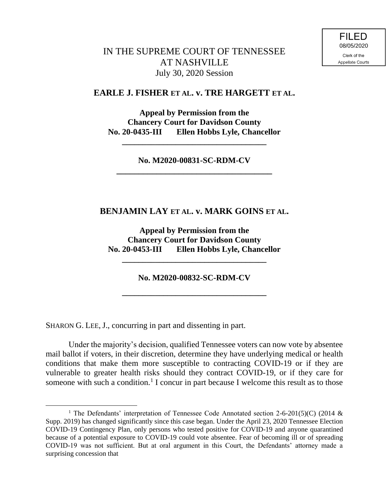# IN THE SUPREME COURT OF TENNESSEE AT NASHVILLE July 30, 2020 Session

## **EARLE J. FISHER ET AL. v. TRE HARGETT ET AL.**

**Appeal by Permission from the Chancery Court for Davidson County No. 20-0435-III Ellen Hobbs Lyle, Chancellor**

**\_\_\_\_\_\_\_\_\_\_\_\_\_\_\_\_\_\_\_\_\_\_\_\_\_\_\_\_\_\_\_\_\_\_\_**

**No. M2020-00831-SC-RDM-CV \_\_\_\_\_\_\_\_\_\_\_\_\_\_\_\_\_\_\_\_\_\_\_\_\_\_\_\_\_\_\_\_\_\_\_**

# **BENJAMIN LAY ET AL. v. MARK GOINS ET AL.**

**Appeal by Permission from the Chancery Court for Davidson County No. 20-0453-III Ellen Hobbs Lyle, Chancellor**

**No. M2020-00832-SC-RDM-CV**

**\_\_\_\_\_\_\_\_\_\_\_\_\_\_\_\_\_\_\_\_\_\_\_\_\_\_\_\_\_\_\_\_\_\_\_**

**\_\_\_\_\_\_\_\_\_\_\_\_\_\_\_\_\_\_\_\_\_\_\_\_\_\_\_\_\_\_\_\_\_\_\_**

SHARON G. LEE, J., concurring in part and dissenting in part.

 $\overline{a}$ 

Under the majority's decision, qualified Tennessee voters can now vote by absentee mail ballot if voters, in their discretion, determine they have underlying medical or health conditions that make them more susceptible to contracting COVID-19 or if they are vulnerable to greater health risks should they contract COVID-19, or if they care for someone with such a condition.<sup>1</sup> I concur in part because I welcome this result as to those

<sup>&</sup>lt;sup>1</sup> The Defendants' interpretation of Tennessee Code Annotated section 2-6-201(5)(C) (2014  $\&$ Supp. 2019) has changed significantly since this case began. Under the April 23, 2020 Tennessee Election COVID-19 Contingency Plan, only persons who tested positive for COVID-19 and anyone quarantined because of a potential exposure to COVID-19 could vote absentee. Fear of becoming ill or of spreading COVID-19 was not sufficient. But at oral argument in this Court, the Defendants' attorney made a surprising concession that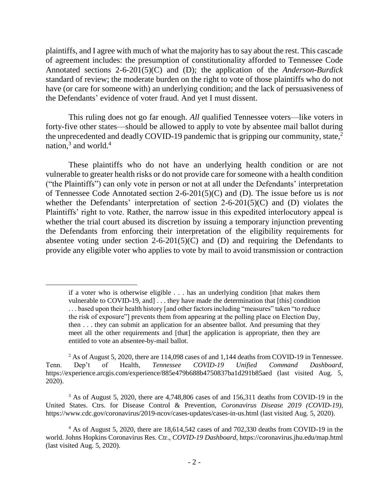plaintiffs, and I agree with much of what the majority has to say about the rest. This cascade of agreement includes: the presumption of constitutionality afforded to Tennessee Code Annotated sections 2-6-201(5)(C) and (D); the application of the *Anderson-Burdick* standard of review; the moderate burden on the right to vote of those plaintiffs who do not have (or care for someone with) an underlying condition; and the lack of persuasiveness of the Defendants' evidence of voter fraud. And yet I must dissent.

This ruling does not go far enough. *All* qualified Tennessee voters—like voters in forty-five other states—should be allowed to apply to vote by absentee mail ballot during the unprecedented and deadly COVID-19 pandemic that is gripping our community, state, $2$ nation,<sup>3</sup> and world.<sup>4</sup>

These plaintiffs who do not have an underlying health condition or are not vulnerable to greater health risks or do not provide care for someone with a health condition ("the Plaintiffs") can only vote in person or not at all under the Defendants' interpretation of Tennessee Code Annotated section 2-6-201(5)(C) and (D). The issue before us is *not* whether the Defendants' interpretation of section 2-6-201(5)(C) and (D) violates the Plaintiffs' right to vote. Rather, the narrow issue in this expedited interlocutory appeal is whether the trial court abused its discretion by issuing a temporary injunction preventing the Defendants from enforcing their interpretation of the eligibility requirements for absentee voting under section 2-6-201(5)(C) and (D) and requiring the Defendants to provide any eligible voter who applies to vote by mail to avoid transmission or contraction

if a voter who is otherwise eligible . . . has an underlying condition [that makes them vulnerable to COVID-19, and] . . . they have made the determination that [this] condition . . . based upon their health history [and other factors including "measures" taken "to reduce the risk of exposure"] prevents them from appearing at the polling place on Election Day, then . . . they can submit an application for an absentee ballot. And presuming that they meet all the other requirements and [that] the application is appropriate, then they are entitled to vote an absentee-by-mail ballot.

<sup>&</sup>lt;sup>2</sup> As of August 5, 2020, there are 114,098 cases of and 1,144 deaths from COVID-19 in Tennessee. Tenn. Dep't of Health, *Tennessee COVID-19 Unified Command Dashboard*, https://experience.arcgis.com/experience/885e479b688b4750837ba1d291b85aed (last visited Aug. 5, 2020).

<sup>&</sup>lt;sup>3</sup> As of August 5, 2020, there are 4,748,806 cases of and 156,311 deaths from COVID-19 in the United States. Ctrs. for Disease Control & Prevention, *Coronavirus Disease 2019 (COVID-19)*, https://www.cdc.gov/coronavirus/2019-ncov/cases-updates/cases-in-us.html (last visited Aug. 5, 2020).

<sup>&</sup>lt;sup>4</sup> As of August 5, 2020, there are 18,614,542 cases of and 702,330 deaths from COVID-19 in the world. Johns Hopkins Coronavirus Res. Ctr., *COVID-19 Dashboard*, https://coronavirus.jhu.edu/map.html (last visited Aug. 5, 2020).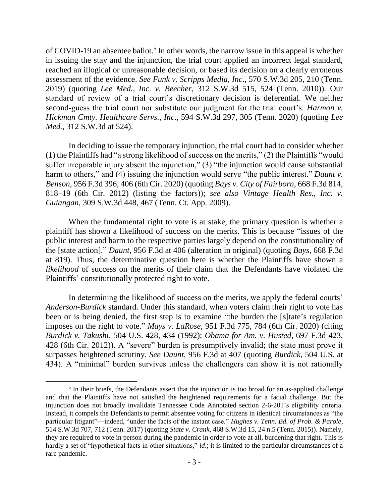of COVID-19 an absentee ballot.<sup>5</sup> In other words, the narrow issue in this appeal is whether in issuing the stay and the injunction, the trial court applied an incorrect legal standard, reached an illogical or unreasonable decision, or based its decision on a clearly erroneous assessment of the evidence. *See Funk v. Scripps Media, Inc*., 570 S.W.3d 205, 210 (Tenn. 2019) (quoting *Lee Med., Inc. v. Beecher*, 312 S.W.3d 515, 524 (Tenn. 2010)). Our standard of review of a trial court's discretionary decision is deferential. We neither second-guess the trial court nor substitute our judgment for the trial court's. *Harmon v. Hickman Cmty. Healthcare Servs., Inc.*, 594 S.W.3d 297, 305 (Tenn. 2020) (quoting *Lee Med.*, 312 S.W.3d at 524).

In deciding to issue the temporary injunction, the trial court had to consider whether (1) the Plaintiffs had "a strong likelihood of success on the merits," (2) the Plaintiffs "would suffer irreparable injury absent the injunction," (3) "the injunction would cause substantial harm to others," and (4) issuing the injunction would serve "the public interest." *Daunt v*. *Benson*, 956 F.3d 396, 406 (6th Cir. 2020) (quoting *Bays v. City of Fairborn*, 668 F.3d 814, 818–19 (6th Cir. 2012) (listing the factors)); *see also Vintage Health Res., Inc. v. Guiangan*, 309 S.W.3d 448, 467 (Tenn. Ct. App. 2009).

When the fundamental right to vote is at stake, the primary question is whether a plaintiff has shown a likelihood of success on the merits. This is because "issues of the public interest and harm to the respective parties largely depend on the constitutionality of the [state action]." *Daunt*, 956 F.3d at 406 (alteration in original) (quoting *Bays*, 668 F.3d at 819). Thus, the determinative question here is whether the Plaintiffs have shown a *likelihood* of success on the merits of their claim that the Defendants have violated the Plaintiffs' constitutionally protected right to vote.

In determining the likelihood of success on the merits, we apply the federal courts' *Anderson-Burdick* standard. Under this standard, when voters claim their right to vote has been or is being denied, the first step is to examine "the burden the [s]tate's regulation imposes on the right to vote." *Mays v. LaRose*, 951 F.3d 775, 784 (6th Cir. 2020) (citing *Burdick v. Takushi*, 504 U.S. 428, 434 (1992); *Obama for Am. v. Husted*, 697 F.3d 423, 428 (6th Cir. 2012)). A "severe" burden is presumptively invalid; the state must prove it surpasses heightened scrutiny. *See Daunt*, 956 F.3d at 407 (quoting *Burdick*, 504 U.S. at 434). A "minimal" burden survives unless the challengers can show it is not rationally

<sup>&</sup>lt;sup>5</sup> In their briefs, the Defendants assert that the injunction is too broad for an as-applied challenge and that the Plaintiffs have not satisfied the heightened requirements for a facial challenge. But the injunction does not broadly invalidate Tennessee Code Annotated section 2-6-201's eligibility criteria. Instead, it compels the Defendants to permit absentee voting for citizens in identical circumstances as "the particular litigant"—indeed, "under the facts of the instant case." *Hughes v. Tenn. Bd. of Prob. & Parole*, 514 S.W.3d 707, 712 (Tenn. 2017) (quoting *State v. Crank*, 468 S.W.3d 15, 24 n.5 (Tenn. 2015)). Namely, they are required to vote in person during the pandemic in order to vote at all, burdening that right. This is hardly a set of "hypothetical facts in other situations," *id*.; it is limited to the particular circumstances of a rare pandemic.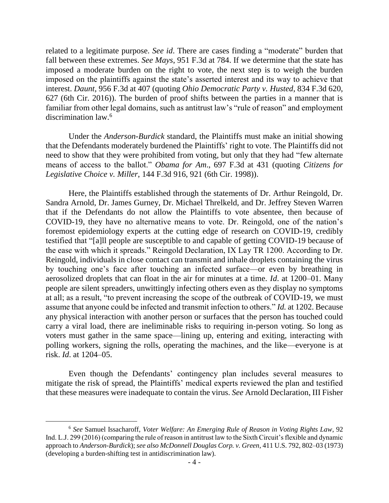related to a legitimate purpose. *See id*. There are cases finding a "moderate" burden that fall between these extremes. *See Mays*, 951 F.3d at 784. If we determine that the state has imposed a moderate burden on the right to vote, the next step is to weigh the burden imposed on the plaintiffs against the state's asserted interest and its way to achieve that interest. *Daunt*, 956 F.3d at 407 (quoting *Ohio Democratic Party v. Husted*, 834 F.3d 620, 627 (6th Cir. 2016)). The burden of proof shifts between the parties in a manner that is familiar from other legal domains, such as antitrust law's "rule of reason" and employment discrimination law.<sup>6</sup>

Under the *Anderson-Burdick* standard, the Plaintiffs must make an initial showing that the Defendants moderately burdened the Plaintiffs' right to vote. The Plaintiffs did not need to show that they were prohibited from voting, but only that they had "few alternate means of access to the ballot." *Obama for Am*., 697 F.3d at 431 (quoting *Citizens for Legislative Choice v. Miller*, 144 F.3d 916, 921 (6th Cir. 1998)).

Here, the Plaintiffs established through the statements of Dr. Arthur Reingold, Dr. Sandra Arnold, Dr. James Gurney, Dr. Michael Threlkeld, and Dr. Jeffrey Steven Warren that if the Defendants do not allow the Plaintiffs to vote absentee, then because of COVID-19, they have no alternative means to vote. Dr. Reingold, one of the nation's foremost epidemiology experts at the cutting edge of research on COVID-19, credibly testified that "[a]ll people are susceptible to and capable of getting COVID-19 because of the ease with which it spreads." Reingold Declaration, IX Lay TR 1200. According to Dr. Reingold, individuals in close contact can transmit and inhale droplets containing the virus by touching one's face after touching an infected surface—or even by breathing in aerosolized droplets that can float in the air for minutes at a time. *Id*. at 1200–01. Many people are silent spreaders, unwittingly infecting others even as they display no symptoms at all; as a result, "to prevent increasing the scope of the outbreak of COVID-19, we must assume that anyone could be infected and transmit infection to others." *Id.* at 1202. Because any physical interaction with another person or surfaces that the person has touched could carry a viral load, there are ineliminable risks to requiring in-person voting. So long as voters must gather in the same space—lining up, entering and exiting, interacting with polling workers, signing the rolls, operating the machines, and the like—everyone is at risk. *Id*. at 1204–05.

Even though the Defendants' contingency plan includes several measures to mitigate the risk of spread, the Plaintiffs' medical experts reviewed the plan and testified that these measures were inadequate to contain the virus. *See* Arnold Declaration, III Fisher

<sup>6</sup> *See* Samuel Issacharoff, *Voter Welfare: An Emerging Rule of Reason in Voting Rights Law*, 92 Ind. L.J. 299 (2016) (comparing the rule of reason in antitrust law to the Sixth Circuit's flexible and dynamic approach to *Anderson-Burdick*); *see also McDonnell Douglas Corp. v. Green*, 411 U.S. 792, 802–03 (1973) (developing a burden-shifting test in antidiscrimination law).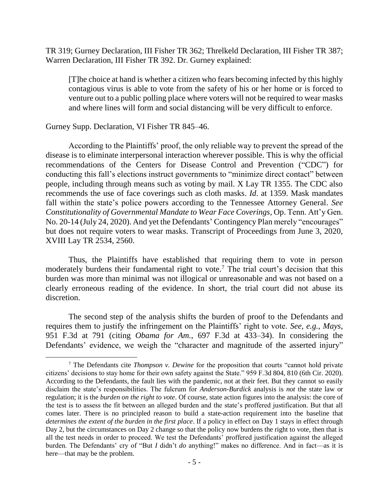TR 319; Gurney Declaration, III Fisher TR 362; Threlkeld Declaration, III Fisher TR 387; Warren Declaration, III Fisher TR 392. Dr. Gurney explained:

[T]he choice at hand is whether a citizen who fears becoming infected by this highly contagious virus is able to vote from the safety of his or her home or is forced to venture out to a public polling place where voters will not be required to wear masks and where lines will form and social distancing will be very difficult to enforce.

#### Gurney Supp. Declaration, VI Fisher TR 845–46.

 $\overline{a}$ 

According to the Plaintiffs' proof, the only reliable way to prevent the spread of the disease is to eliminate interpersonal interaction wherever possible. This is why the official recommendations of the Centers for Disease Control and Prevention ("CDC") for conducting this fall's elections instruct governments to "minimize direct contact" between people, including through means such as voting by mail. X Lay TR 1355. The CDC also recommends the use of face coverings such as cloth masks. *Id*. at 1359. Mask mandates fall within the state's police powers according to the Tennessee Attorney General. *See Constitutionality of Governmental Mandate to Wear Face Coverings*, Op. Tenn. Att'y Gen. No. 20-14 (July 24, 2020). And yet the Defendants' Contingency Plan merely "encourages" but does not require voters to wear masks. Transcript of Proceedings from June 3, 2020, XVIII Lay TR 2534, 2560.

Thus, the Plaintiffs have established that requiring them to vote in person moderately burdens their fundamental right to vote.<sup>7</sup> The trial court's decision that this burden was more than minimal was not illogical or unreasonable and was not based on a clearly erroneous reading of the evidence. In short, the trial court did not abuse its discretion.

The second step of the analysis shifts the burden of proof to the Defendants and requires them to justify the infringement on the Plaintiffs' right to vote. *See, e.g.*, *Mays*, 951 F.3d at 791 (citing *Obama for Am.*, 697 F.3d at 433–34). In considering the Defendants' evidence, we weigh the "character and magnitude of the asserted injury"

<sup>7</sup> The Defendants cite *Thompson v. Dewine* for the proposition that courts "cannot hold private citizens' decisions to stay home for their own safety against the State." 959 F.3d 804, 810 (6th Cir. 2020). According to the Defendants, the fault lies with the pandemic, not at their feet. But they cannot so easily disclaim the state's responsibilities. The fulcrum for *Anderson-Burdick* analysis is *not* the state law or regulation; it is the *burden on the right to vote*. Of course, state action figures into the analysis: the core of the test is to assess the fit between an alleged burden and the state's proffered justification. But that all comes later. There is no principled reason to build a state-action requirement into the baseline that *determines the extent of the burden in the first place*. If a policy in effect on Day 1 stays in effect through Day 2, but the circumstances on Day 2 change so that the policy now burdens the right to vote, then that is all the test needs in order to proceed. We test the Defendants' proffered justification against the alleged burden. The Defendants' cry of "But *I* didn't *do* anything!" makes no difference. And in fact—as it is here—that may be the problem.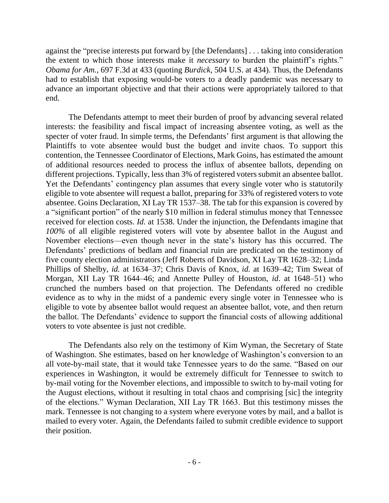against the "precise interests put forward by [the Defendants] . . . taking into consideration the extent to which those interests make it *necessary* to burden the plaintiff's rights." *Obama for Am.*, 697 F.3d at 433 (quoting *Burdick*, 504 U.S. at 434). Thus, the Defendants had to establish that exposing would-be voters to a deadly pandemic was necessary to advance an important objective and that their actions were appropriately tailored to that end.

The Defendants attempt to meet their burden of proof by advancing several related interests: the feasibility and fiscal impact of increasing absentee voting, as well as the specter of voter fraud. In simple terms, the Defendants' first argument is that allowing the Plaintiffs to vote absentee would bust the budget and invite chaos. To support this contention, the Tennessee Coordinator of Elections, Mark Goins, has estimated the amount of additional resources needed to process the influx of absentee ballots, depending on different projections. Typically, less than 3% of registered voters submit an absentee ballot. Yet the Defendants' contingency plan assumes that every single voter who is statutorily eligible to vote absentee will request a ballot, preparing for 33% of registered voters to vote absentee. Goins Declaration, XI Lay TR 1537–38. The tab for this expansion is covered by a "significant portion" of the nearly \$10 million in federal stimulus money that Tennessee received for election costs. *Id.* at 1538. Under the injunction, the Defendants imagine that *100%* of all eligible registered voters will vote by absentee ballot in the August and November elections—even though never in the state's history has this occurred. The Defendants' predictions of bedlam and financial ruin are predicated on the testimony of five county election administrators (Jeff Roberts of Davidson, XI Lay TR 1628–32; Linda Phillips of Shelby, *id.* at 1634–37; Chris Davis of Knox, *id.* at 1639–42; Tim Sweat of Morgan, XII Lay TR 1644–46; and Annette Pulley of Houston, *id*. at 1648–51) who crunched the numbers based on that projection. The Defendants offered no credible evidence as to why in the midst of a pandemic every single voter in Tennessee who is eligible to vote by absentee ballot would request an absentee ballot, vote, and then return the ballot. The Defendants' evidence to support the financial costs of allowing additional voters to vote absentee is just not credible.

The Defendants also rely on the testimony of Kim Wyman, the Secretary of State of Washington. She estimates, based on her knowledge of Washington's conversion to an all vote-by-mail state, that it would take Tennessee years to do the same. "Based on our experiences in Washington, it would be extremely difficult for Tennessee to switch to by-mail voting for the November elections, and impossible to switch to by-mail voting for the August elections, without it resulting in total chaos and comprising [sic] the integrity of the elections." Wyman Declaration, XII Lay TR 1663. But this testimony misses the mark. Tennessee is not changing to a system where everyone votes by mail, and a ballot is mailed to every voter. Again, the Defendants failed to submit credible evidence to support their position.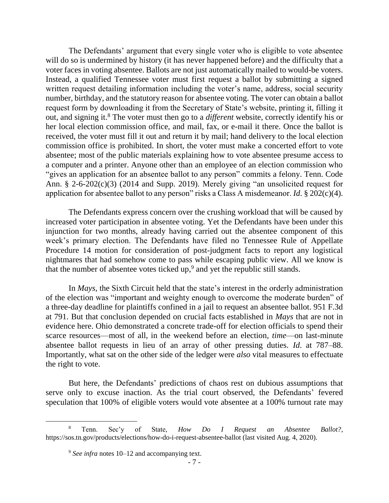The Defendants' argument that every single voter who is eligible to vote absentee will do so is undermined by history (it has never happened before) and the difficulty that a voter faces in voting absentee. Ballots are not just automatically mailed to would-be voters. Instead, a qualified Tennessee voter must first request a ballot by submitting a signed written request detailing information including the voter's name, address, social security number, birthday, and the statutory reason for absentee voting. The voter can obtain a ballot request form by downloading it from the Secretary of State's website, printing it, filling it out, and signing it.<sup>8</sup> The voter must then go to a *different* website, correctly identify his or her local election commission office, and mail, fax, or e-mail it there. Once the ballot is received, the voter must fill it out and return it by mail; hand delivery to the local election commission office is prohibited. In short, the voter must make a concerted effort to vote absentee; most of the public materials explaining how to vote absentee presume access to a computer and a printer. Anyone other than an employee of an election commission who "gives an application for an absentee ballot to any person" commits a felony. Tenn. Code Ann. § 2-6-202(c)(3) (2014 and Supp. 2019). Merely giving "an unsolicited request for application for absentee ballot to any person" risks a Class A misdemeanor. *Id*. § 202(c)(4).

The Defendants express concern over the crushing workload that will be caused by increased voter participation in absentee voting. Yet the Defendants have been under this injunction for two months, already having carried out the absentee component of this week's primary election. The Defendants have filed no Tennessee Rule of Appellate Procedure 14 motion for consideration of post-judgment facts to report any logistical nightmares that had somehow come to pass while escaping public view. All we know is that the number of absentee votes ticked up,<sup>9</sup> and yet the republic still stands.

In *Mays*, the Sixth Circuit held that the state's interest in the orderly administration of the election was "important and weighty enough to overcome the moderate burden" of a three-day deadline for plaintiffs confined in a jail to request an absentee ballot. 951 F.3d at 791. But that conclusion depended on crucial facts established in *Mays* that are not in evidence here. Ohio demonstrated a concrete trade-off for election officials to spend their scarce resources—most of all, in the weekend before an election, *time*—on last-minute absentee ballot requests in lieu of an array of other pressing duties. *Id*. at 787–88. Importantly, what sat on the other side of the ledger were *also* vital measures to effectuate the right to vote.

But here, the Defendants' predictions of chaos rest on dubious assumptions that serve only to excuse inaction. As the trial court observed, the Defendants' fevered speculation that 100% of eligible voters would vote absentee at a 100% turnout rate may

<sup>8</sup> Tenn. Sec'y of State, *How Do I Request an Absentee Ballot?*, https://sos.tn.gov/products/elections/how-do-i-request-absentee-ballot (last visited Aug. 4, 2020).

<sup>9</sup> *See infra* notes 10–12 and accompanying text.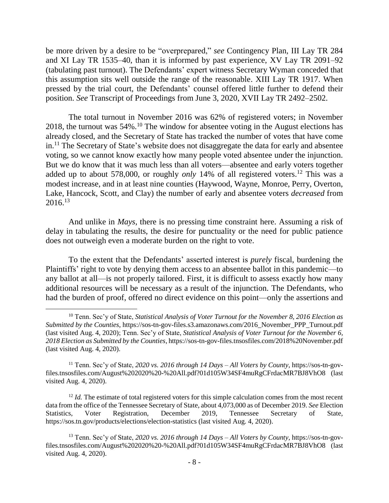be more driven by a desire to be "overprepared," *see* Contingency Plan, III Lay TR 284 and XI Lay TR 1535–40, than it is informed by past experience, XV Lay TR 2091–92 (tabulating past turnout). The Defendants' expert witness Secretary Wyman conceded that this assumption sits well outside the range of the reasonable. XIII Lay TR 1917. When pressed by the trial court, the Defendants' counsel offered little further to defend their position. *See* Transcript of Proceedings from June 3, 2020, XVII Lay TR 2492–2502.

The total turnout in November 2016 was 62% of registered voters; in November 2018, the turnout was  $54\%$ .<sup>10</sup> The window for absentee voting in the August elections has already closed, and the Secretary of State has tracked the number of votes that have come in.<sup>11</sup> The Secretary of State's website does not disaggregate the data for early and absentee voting, so we cannot know exactly how many people voted absentee under the injunction. But we do know that it was much less than all voters—absentee and early voters together added up to about 578,000, or roughly *only* 14% of all registered voters.<sup>12</sup> This was a modest increase, and in at least nine counties (Haywood, Wayne, Monroe, Perry, Overton, Lake, Hancock, Scott, and Clay) the number of early and absentee voters *decreased* from  $2016.<sup>13</sup>$ 

And unlike in *Mays*, there is no pressing time constraint here. Assuming a risk of delay in tabulating the results, the desire for punctuality or the need for public patience does not outweigh even a moderate burden on the right to vote.

To the extent that the Defendants' asserted interest is *purely* fiscal, burdening the Plaintiffs' right to vote by denying them access to an absentee ballot in this pandemic—to any ballot at all—is not properly tailored. First, it is difficult to assess exactly how many additional resources will be necessary as a result of the injunction. The Defendants, who had the burden of proof, offered no direct evidence on this point—only the assertions and

<sup>10</sup> Tenn. Sec'y of State, *Statistical Analysis of Voter Turnout for the November 8, 2016 Election as Submitted by the Counties*, https://sos-tn-gov-files.s3.amazonaws.com/2016\_November\_PPP\_Turnout.pdf (last visited Aug. 4, 2020); Tenn. Sec'y of State, *Statistical Analysis of Voter Turnout for the November 6, 2018 Election as Submitted by the Counties*, https://sos-tn-gov-files.tnsosfiles.com/2018%20November.pdf (last visited Aug. 4, 2020).

<sup>11</sup> Tenn. Sec'y of State, *2020 vs. 2016 through 14 Days – All Voters by County*, https://sos-tn-govfiles.tnsosfiles.com/August%202020%20-%20All.pdf?01d105W34SF4muRgCFrdacMR7BJ8VhO8 (last visited Aug. 4, 2020).

<sup>&</sup>lt;sup>12</sup> *Id.* The estimate of total registered voters for this simple calculation comes from the most recent data from the office of the Tennessee Secretary of State, about 4,073,000 as of December 2019. *See* Election Statistics, Voter Registration, December 2019, Tennessee Secretary of State, https://sos.tn.gov/products/elections/election-statistics (last visited Aug. 4, 2020).

<sup>13</sup> Tenn. Sec'y of State, *2020 vs. 2016 through 14 Days – All Voters by County*, https://sos-tn-govfiles.tnsosfiles.com/August%202020%20-%20All.pdf?01d105W34SF4muRgCFrdacMR7BJ8VhO8 (last visited Aug. 4, 2020).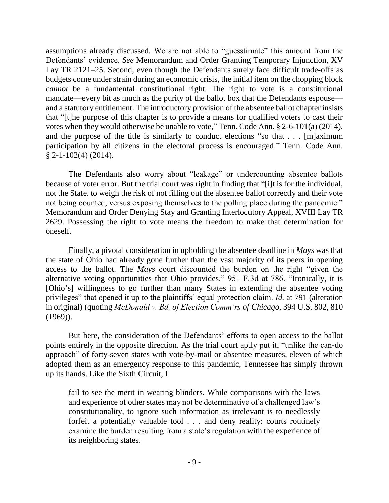assumptions already discussed. We are not able to "guesstimate" this amount from the Defendants' evidence. *See* Memorandum and Order Granting Temporary Injunction, XV Lay TR 2121–25. Second, even though the Defendants surely face difficult trade-offs as budgets come under strain during an economic crisis, the initial item on the chopping block *cannot* be a fundamental constitutional right. The right to vote is a constitutional mandate—every bit as much as the purity of the ballot box that the Defendants espouse and a statutory entitlement. The introductory provision of the absentee ballot chapter insists that "[t]he purpose of this chapter is to provide a means for qualified voters to cast their votes when they would otherwise be unable to vote," Tenn. Code Ann. § 2-6-101(a) (2014), and the purpose of the title is similarly to conduct elections "so that . . . [m]aximum participation by all citizens in the electoral process is encouraged." Tenn. Code Ann.  $§$  2-1-102(4) (2014).

The Defendants also worry about "leakage" or undercounting absentee ballots because of voter error. But the trial court was right in finding that "[i]t is for the individual, not the State, to weigh the risk of not filling out the absentee ballot correctly and their vote not being counted, versus exposing themselves to the polling place during the pandemic." Memorandum and Order Denying Stay and Granting Interlocutory Appeal, XVIII Lay TR 2629. Possessing the right to vote means the freedom to make that determination for oneself.

Finally, a pivotal consideration in upholding the absentee deadline in *Mays* was that the state of Ohio had already gone further than the vast majority of its peers in opening access to the ballot. The *Mays* court discounted the burden on the right "given the alternative voting opportunities that Ohio provides." 951 F.3d at 786. "Ironically, it is [Ohio's] willingness to go further than many States in extending the absentee voting privileges" that opened it up to the plaintiffs' equal protection claim. *Id.* at 791 (alteration in original) (quoting *McDonald v. Bd. of Election Comm'rs of Chicago*, 394 U.S. 802, 810 (1969)).

But here, the consideration of the Defendants' efforts to open access to the ballot points entirely in the opposite direction. As the trial court aptly put it, "unlike the can-do approach" of forty-seven states with vote-by-mail or absentee measures, eleven of which adopted them as an emergency response to this pandemic, Tennessee has simply thrown up its hands. Like the Sixth Circuit, I

fail to see the merit in wearing blinders. While comparisons with the laws and experience of other states may not be determinative of a challenged law's constitutionality, to ignore such information as irrelevant is to needlessly forfeit a potentially valuable tool . . . and deny reality: courts routinely examine the burden resulting from a state's regulation with the experience of its neighboring states.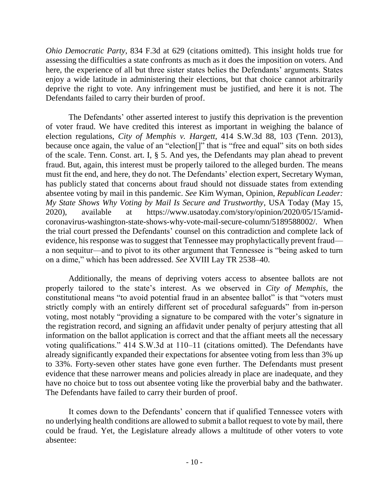*Ohio Democratic Party*, 834 F.3d at 629 (citations omitted). This insight holds true for assessing the difficulties a state confronts as much as it does the imposition on voters. And here, the experience of all but three sister states belies the Defendants' arguments. States enjoy a wide latitude in administering their elections, but that choice cannot arbitrarily deprive the right to vote. Any infringement must be justified, and here it is not. The Defendants failed to carry their burden of proof.

The Defendants' other asserted interest to justify this deprivation is the prevention of voter fraud. We have credited this interest as important in weighing the balance of election regulations, *City of Memphis v. Hargett*, 414 S.W.3d 88, 103 (Tenn. 2013), because once again, the value of an "election[]" that is "free and equal" sits on both sides of the scale. Tenn. Const. art. I, § 5. And yes, the Defendants may plan ahead to prevent fraud. But, again, this interest must be properly tailored to the alleged burden. The means must fit the end, and here, they do not. The Defendants' election expert, Secretary Wyman, has publicly stated that concerns about fraud should not dissuade states from extending absentee voting by mail in this pandemic. *See* Kim Wyman, Opinion, *Republican Leader: My State Shows Why Voting by Mail Is Secure and Trustworthy*, USA Today (May 15, 2020), available at https://www.usatoday.com/story/opinion/2020/05/15/amidcoronavirus-washington-state-shows-why-vote-mail-secure-column/5189588002/. When the trial court pressed the Defendants' counsel on this contradiction and complete lack of evidence, his response was to suggest that Tennessee may prophylactically prevent fraud a non sequitur—and to pivot to its other argument that Tennessee is "being asked to turn on a dime," which has been addressed. *See* XVIII Lay TR 2538–40.

Additionally, the means of depriving voters access to absentee ballots are not properly tailored to the state's interest. As we observed in *City of Memphis*, the constitutional means "to avoid potential fraud in an absentee ballot" is that "voters must strictly comply with an entirely different set of procedural safeguards" from in-person voting, most notably "providing a signature to be compared with the voter's signature in the registration record, and signing an affidavit under penalty of perjury attesting that all information on the ballot application is correct and that the affiant meets all the necessary voting qualifications." 414 S.W.3d at 110–11 (citations omitted). The Defendants have already significantly expanded their expectations for absentee voting from less than 3% up to 33%. Forty-seven other states have gone even further. The Defendants must present evidence that these narrower means and policies already in place are inadequate, and they have no choice but to toss out absentee voting like the proverbial baby and the bathwater. The Defendants have failed to carry their burden of proof.

It comes down to the Defendants' concern that if qualified Tennessee voters with no underlying health conditions are allowed to submit a ballot request to vote by mail, there could be fraud. Yet, the Legislature already allows a multitude of other voters to vote absentee: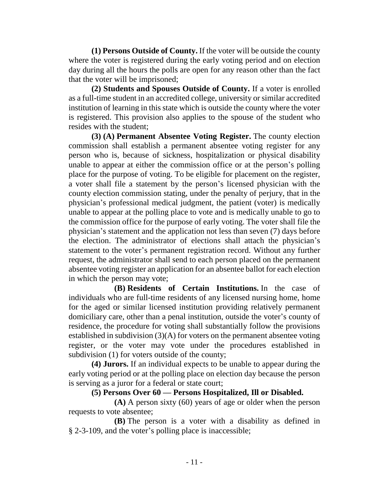**(1) Persons Outside of County.** If the voter will be outside the county where the voter is registered during the early voting period and on election day during all the hours the polls are open for any reason other than the fact that the voter will be imprisoned;

**(2) Students and Spouses Outside of County.** If a voter is enrolled as a full-time student in an accredited college, university or similar accredited institution of learning in this state which is outside the county where the voter is registered. This provision also applies to the spouse of the student who resides with the student;

**(3) (A) Permanent Absentee Voting Register.** The county election commission shall establish a permanent absentee voting register for any person who is, because of sickness, hospitalization or physical disability unable to appear at either the commission office or at the person's polling place for the purpose of voting. To be eligible for placement on the register, a voter shall file a statement by the person's licensed physician with the county election commission stating, under the penalty of perjury, that in the physician's professional medical judgment, the patient (voter) is medically unable to appear at the polling place to vote and is medically unable to go to the commission office for the purpose of early voting. The voter shall file the physician's statement and the application not less than seven (7) days before the election. The administrator of elections shall attach the physician's statement to the voter's permanent registration record. Without any further request, the administrator shall send to each person placed on the permanent absentee voting register an application for an absentee ballot for each election in which the person may vote;

**(B) Residents of Certain Institutions.** In the case of individuals who are full-time residents of any licensed nursing home, home for the aged or similar licensed institution providing relatively permanent domiciliary care, other than a penal institution, outside the voter's county of residence, the procedure for voting shall substantially follow the provisions established in subdivision (3)(A) for voters on the permanent absentee voting register, or the voter may vote under the procedures established in subdivision (1) for voters outside of the county;

**(4) Jurors.** If an individual expects to be unable to appear during the early voting period or at the polling place on election day because the person is serving as a juror for a federal or state court;

## **(5) Persons Over 60 — Persons Hospitalized, Ill or Disabled.**

**(A)** A person sixty (60) years of age or older when the person requests to vote absentee;

**(B)** The person is a voter with a disability as defined in § 2-3-109, and the voter's polling place is inaccessible;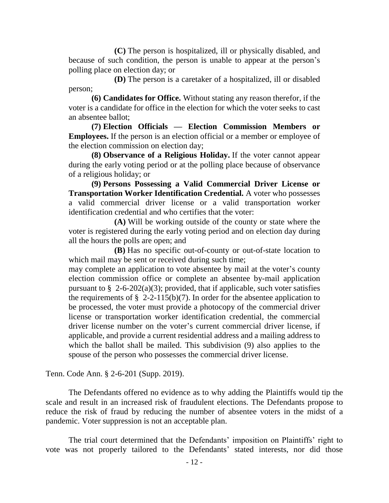**(C)** The person is hospitalized, ill or physically disabled, and because of such condition, the person is unable to appear at the person's polling place on election day; or

**(D)** The person is a caretaker of a hospitalized, ill or disabled person;

**(6) Candidates for Office.** Without stating any reason therefor, if the voter is a candidate for office in the election for which the voter seeks to cast an absentee ballot;

**(7) Election Officials — Election Commission Members or Employees.** If the person is an election official or a member or employee of the election commission on election day;

**(8) Observance of a Religious Holiday.** If the voter cannot appear during the early voting period or at the polling place because of observance of a religious holiday; or

**(9) Persons Possessing a Valid Commercial Driver License or Transportation Worker Identification Credential.** A voter who possesses a valid commercial driver license or a valid transportation worker identification credential and who certifies that the voter:

**(A)** Will be working outside of the county or state where the voter is registered during the early voting period and on election day during all the hours the polls are open; and

**(B)** Has no specific out-of-county or out-of-state location to which mail may be sent or received during such time;

may complete an application to vote absentee by mail at the voter's county election commission office or complete an absentee by-mail application pursuant to  $\frac{8}{9}$  2-6-202(a)(3); provided, that if applicable, such voter satisfies the requirements of  $\S$  2-2-115(b)(7). In order for the absentee application to be processed, the voter must provide a photocopy of the commercial driver license or transportation worker identification credential, the commercial driver license number on the voter's current commercial driver license, if applicable, and provide a current residential address and a mailing address to which the ballot shall be mailed. This subdivision (9) also applies to the spouse of the person who possesses the commercial driver license.

Tenn. Code Ann. § 2-6-201 (Supp. 2019).

The Defendants offered no evidence as to why adding the Plaintiffs would tip the scale and result in an increased risk of fraudulent elections. The Defendants propose to reduce the risk of fraud by reducing the number of absentee voters in the midst of a pandemic. Voter suppression is not an acceptable plan.

The trial court determined that the Defendants' imposition on Plaintiffs' right to vote was not properly tailored to the Defendants' stated interests, nor did those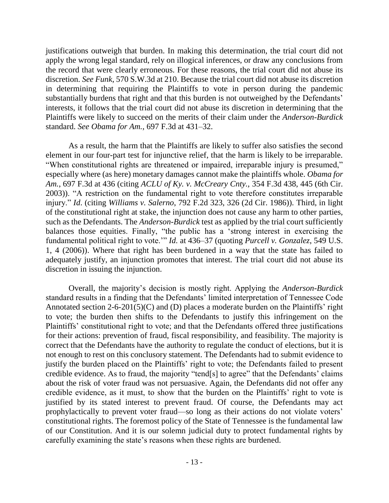justifications outweigh that burden. In making this determination, the trial court did not apply the wrong legal standard, rely on illogical inferences, or draw any conclusions from the record that were clearly erroneous. For these reasons, the trial court did not abuse its discretion. *See Funk*, 570 S.W.3d at 210. Because the trial court did not abuse its discretion in determining that requiring the Plaintiffs to vote in person during the pandemic substantially burdens that right and that this burden is not outweighed by the Defendants' interests, it follows that the trial court did not abuse its discretion in determining that the Plaintiffs were likely to succeed on the merits of their claim under the *Anderson-Burdick* standard. *See Obama for Am.*, 697 F.3d at 431–32.

As a result, the harm that the Plaintiffs are likely to suffer also satisfies the second element in our four-part test for injunctive relief, that the harm is likely to be irreparable. "When constitutional rights are threatened or impaired, irreparable injury is presumed," especially where (as here) monetary damages cannot make the plaintiffs whole. *Obama for Am.*, 697 F.3d at 436 (citing *ACLU of Ky. v. McCreary Cnty.,* 354 F.3d 438, 445 (6th Cir. 2003)). "A restriction on the fundamental right to vote therefore constitutes irreparable injury." *Id*. (citing *Williams v. Salerno*, 792 F.2d 323, 326 (2d Cir. 1986)). Third, in light of the constitutional right at stake, the injunction does not cause any harm to other parties, such as the Defendants. The *Anderson-Burdick* test as applied by the trial court sufficiently balances those equities. Finally, "the public has a 'strong interest in exercising the fundamental political right to vote.'" *Id.* at 436–37 (quoting *Purcell v. Gonzalez*, 549 U.S. 1, 4 (2006)). Where that right has been burdened in a way that the state has failed to adequately justify, an injunction promotes that interest. The trial court did not abuse its discretion in issuing the injunction.

Overall, the majority's decision is mostly right. Applying the *Anderson-Burdick* standard results in a finding that the Defendants' limited interpretation of Tennessee Code Annotated section 2-6-201(5)(C) and (D) places a moderate burden on the Plaintiffs' right to vote; the burden then shifts to the Defendants to justify this infringement on the Plaintiffs' constitutional right to vote; and that the Defendants offered three justifications for their actions: prevention of fraud, fiscal responsibility, and feasibility. The majority is correct that the Defendants have the authority to regulate the conduct of elections, but it is not enough to rest on this conclusory statement. The Defendants had to submit evidence to justify the burden placed on the Plaintiffs' right to vote; the Defendants failed to present credible evidence. As to fraud, the majority "tend[s] to agree" that the Defendants' claims about the risk of voter fraud was not persuasive. Again, the Defendants did not offer any credible evidence, as it must, to show that the burden on the Plaintiffs' right to vote is justified by its stated interest to prevent fraud. Of course, the Defendants may act prophylactically to prevent voter fraud—so long as their actions do not violate voters' constitutional rights. The foremost policy of the State of Tennessee is the fundamental law of our Constitution. And it is our solemn judicial duty to protect fundamental rights by carefully examining the state's reasons when these rights are burdened.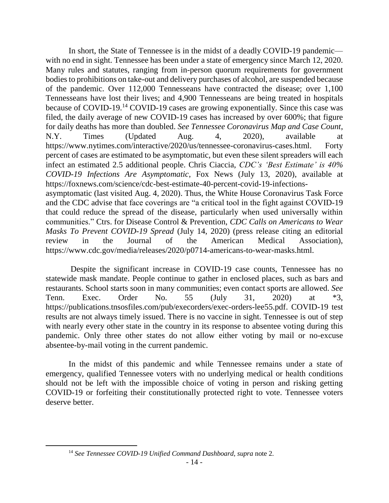In short, the State of Tennessee is in the midst of a deadly COVID-19 pandemic with no end in sight. Tennessee has been under a state of emergency since March 12, 2020. Many rules and statutes, ranging from in-person quorum requirements for government bodies to prohibitions on take-out and delivery purchases of alcohol, are suspended because of the pandemic. Over 112,000 Tennesseans have contracted the disease; over 1,100 Tennesseans have lost their lives; and 4,900 Tennesseans are being treated in hospitals because of COVID-19.<sup>14</sup> COVID-19 cases are growing exponentially. Since this case was filed, the daily average of new COVID-19 cases has increased by over 600%; that figure for daily deaths has more than doubled. *See Tennessee Coronavirus Map and Case Count*, N.Y. Times (Updated Aug. 4, 2020), available at https://www.nytimes.com/interactive/2020/us/tennessee-coronavirus-cases.html. Forty percent of cases are estimated to be asymptomatic, but even these silent spreaders will each infect an estimated 2.5 additional people. Chris Ciaccia, *CDC's 'Best Estimate' is 40% COVID-19 Infections Are Asymptomatic*, Fox News (July 13, 2020), available at https://foxnews.com/science/cdc-best-estimate-40-percent-covid-19-infectionsasymptomatic (last visited Aug. 4, 2020). Thus, the White House Coronavirus Task Force and the CDC advise that face coverings are "a critical tool in the fight against COVID-19 that could reduce the spread of the disease, particularly when used universally within communities." Ctrs. for Disease Control & Prevention, *CDC Calls on Americans to Wear Masks To Prevent COVID-19 Spread* (July 14, 2020) (press release citing an editorial review in the Journal of the American Medical Association), https://www.cdc.gov/media/releases/2020/p0714-americans-to-wear-masks.html.

Despite the significant increase in COVID-19 case counts, Tennessee has no statewide mask mandate. People continue to gather in enclosed places, such as bars and restaurants. School starts soon in many communities; even contact sports are allowed. *See*  Tenn. Exec. Order No. 55 (July 31, 2020) at \*3, https://publications.tnsosfiles.com/pub/execorders/exec-orders-lee55.pdf. COVID-19 test results are not always timely issued. There is no vaccine in sight. Tennessee is out of step with nearly every other state in the country in its response to absentee voting during this pandemic. Only three other states do not allow either voting by mail or no-excuse absentee-by-mail voting in the current pandemic.

In the midst of this pandemic and while Tennessee remains under a state of emergency, qualified Tennessee voters with no underlying medical or health conditions should not be left with the impossible choice of voting in person and risking getting COVID-19 or forfeiting their constitutionally protected right to vote. Tennessee voters deserve better.

<sup>14</sup> *See Tennessee COVID-19 Unified Command Dashboard*, *supra* note 2.